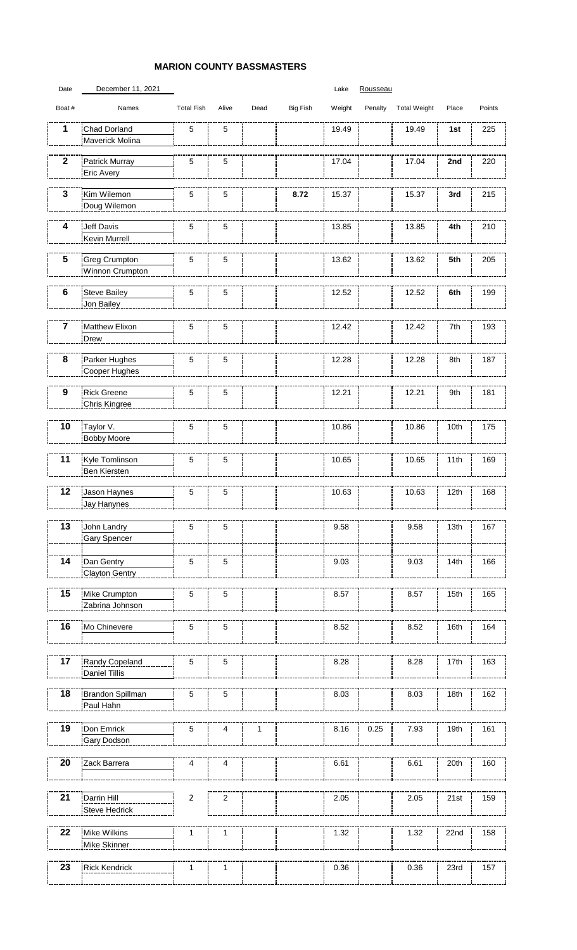## **MARION COUNTY BASSMASTERS**

| Date                    | December 11, 2021                       |                   |                |      |                 | Lake   | Rousseau |                     |       |        |
|-------------------------|-----------------------------------------|-------------------|----------------|------|-----------------|--------|----------|---------------------|-------|--------|
| Boat #                  | Names                                   | <b>Total Fish</b> | Alive          | Dead | <b>Big Fish</b> | Weight | Penalty  | <b>Total Weight</b> | Place | Points |
| 1                       | Chad Dorland<br>Maverick Molina         | 5                 | 5              |      |                 | 19.49  |          | 19.49               | 1st   | 225    |
| $\overline{\mathbf{2}}$ | Patrick Murray<br>Eric Avery            | 5                 | 5              |      |                 | 17.04  |          | 17.04               | 2nd   | 220    |
| 3                       | Kim Wilemon<br>Doug Wilemon             | 5                 | 5              |      | 8.72            | 15.37  |          | 15.37               | 3rd   | 215    |
| 4                       | Jeff Davis<br>Kevin Murrell             | 5                 | 5              |      |                 | 13.85  |          | 13.85               | 4th   | 210    |
| 5                       | <b>Greg Crumpton</b><br>Winnon Crumpton | 5                 | 5              |      |                 | 13.62  |          | 13.62               | 5th   | 205    |
| 6                       | <b>Steve Bailey</b><br>Jon Bailey       | 5                 | 5              |      |                 | 12.52  |          | 12.52               | 6th   | 199    |
| $\overline{7}$          | Matthew Elixon<br>Drew                  | 5                 | 5              |      |                 | 12.42  |          | 12.42               | 7th   | 193    |
| 8                       | Parker Hughes<br>Cooper Hughes          | 5                 | 5              |      |                 | 12.28  |          | 12.28               | 8th   | 187    |
| $\boldsymbol{9}$        | <b>Rick Greene</b><br>Chris Kingree     | 5                 | $\overline{5}$ |      |                 | 12.21  |          | 12.21               | 9th   | 181    |
| 10                      | Taylor V.<br><b>Bobby Moore</b>         | 5                 | $\sqrt{5}$     |      |                 | 10.86  |          | 10.86               | 10th  | 175    |
| 11                      | Kyle Tomlinson<br>Ben Kiersten          | 5                 | 5              |      |                 | 10.65  |          | 10.65               | 11th  | 169    |
| 12                      | Jason Haynes<br>Jav Hanvnes             | 5                 | 5              |      |                 | 10.63  |          | 10.63               | 12th  | 168    |
| 13                      | John Landry<br><b>Gary Spencer</b>      | 5                 | 5              |      |                 | 9.58   |          | 9.58                | 13th  | 167    |
| 14                      | Dan Gentry<br><b>Clayton Gentry</b>     | 5                 | 5              |      |                 | 9.03   |          | 9.03                | 14th  | 166    |
| 15                      | Mike Crumpton<br>Zabrina Johnson        | 5                 | 5              |      |                 | 8.57   |          | 8.57                | 15th  | 165    |
| 16                      | Mo Chinevere                            | 5                 | $\mathbf 5$    |      |                 | 8.52   |          | 8.52                | 16th  | 164    |
| 17                      | Randy Copeland<br><b>Daniel Tillis</b>  | 5                 | $\mathbf 5$    |      |                 | 8.28   |          | 8.28                | 17th  | 163    |
| 18                      | Brandon Spillman<br>Paul Hahn           | 5                 | $\sqrt{5}$     |      |                 | 8.03   |          | 8.03                | 18th  | 162    |
| 19                      | Don Emrick<br>Gary Dodson               | 5                 | 4              | 1    |                 | 8.16   | 0.25     | 7.93                | 19th  | 161    |
| 20                      | Zack Barrera                            | 4                 | 4              |      |                 | 6.61   |          | 6.61                | 20th  | 160    |
| 21                      | Darrin Hill<br>Steve Hedrick            | $\overline{2}$    | $\overline{c}$ |      |                 | 2.05   |          | 2.05                | 21st  | 159    |
| 22                      | Mike Wilkins<br>Mike Skinner            | 1                 | $\mathbf{1}$   |      |                 | 1.32   |          | 1.32                | 22nd  | 158    |
| 23                      | <b>Rick Kendrick</b>                    | 1                 | $\mathbf{1}$   |      |                 | 0.36   |          | 0.36                | 23rd  | 157    |